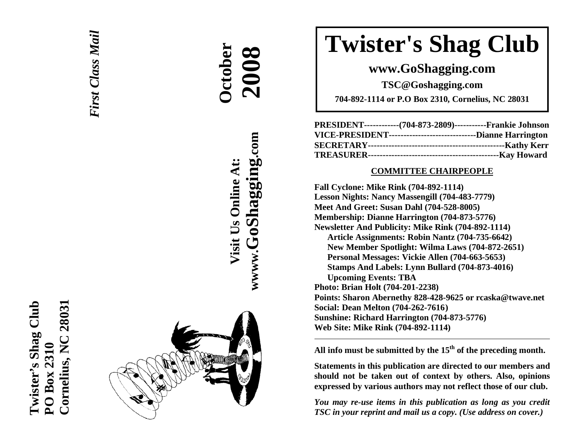



**Dctober** 

**Visit Us Online At:**

Visit Us Online At:

**wwww.GoShagging.com**

www.GoShagging.com

 **2008**

# **Twister's Shag Club**

## **www.GoShagging.com**

**TSC@Goshagging.com** 

**704-892-1114 or P.O Box 2310, Cornelius, NC 28031** 

| PRESIDENT------------(704-873-2809)-----------Frankie Johnson   |  |
|-----------------------------------------------------------------|--|
| VICE-PRESIDENT--------------------------------Dianne Harrington |  |
|                                                                 |  |
|                                                                 |  |

#### **COMMITTEE CHAIRPEOPLE**

**Fall Cyclone: Mike Rink (704-892-1114) Lesson Nights: Nancy Massengill (704-483-7779) Meet And Greet: Susan Dahl (704-528-8005) Membership: Dianne Harrington (704-873-5776) Newsletter And Publicity: Mike Rink (704-892-1114) Article Assignments: Robin Nantz (704-735-6642) New Member Spotlight: Wilma Laws (704-872-2651) Personal Messages: Vickie Allen (704-663-5653) Stamps And Labels: Lynn Bullard (704-873-4016) Upcoming Events: TBA Photo: Brian Holt (704-201-2238) Points: Sharon Abernethy 828-428-9625 or rcaska@twave.net Social: Dean Melton (704-262-7616 ) Sunshine: Richard Harrington (704-873-5776) Web Site: Mike Rink (704-892-1114)** 

**All info must be submitted by the 15th of the preceding month.** 

**Statements in this publication are directed to our members and should not be taken out of context by others. Also, opinions expressed by various authors may not reflect those of our club.** 

*You may re-use items in this publication as long as you credit TSC in your reprint and mail us a copy. (Use address on cover.)*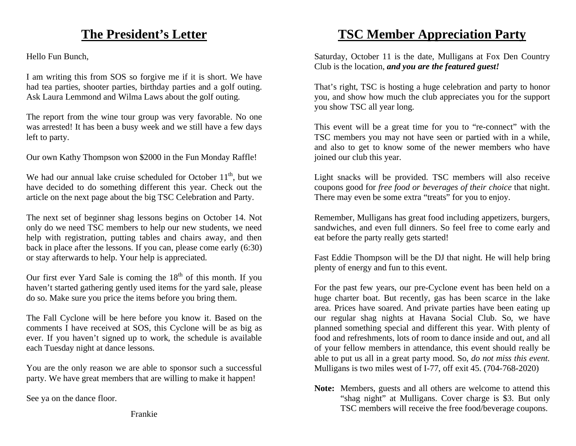# **The President's Letter**

Hello Fun Bunch,

I am writing this from SOS so forgive me if it is short. We have had tea parties, shooter parties, birthday parties and a golf outing. Ask Laura Lemmond and Wilma Laws about the golf outing.

The report from the wine tour group was very favorable. No one was arrested! It has been a busy week and we still have a few days left to party.

Our own Kathy Thompson won \$2000 in the Fun Monday Raffle!

We had our annual lake cruise scheduled for October  $11<sup>th</sup>$ , but we have decided to do something different this year. Check out the article on the next page about the big TSC Celebration and Party.

The next set of beginner shag lessons begins on October 14. Not only do we need TSC members to help our new students, we need help with registration, putting tables and chairs away, and then back in place after the lessons. If you can, please come early (6:30) or stay afterwards to help. Your help is appreciated.

Our first ever Yard Sale is coming the  $18<sup>th</sup>$  of this month. If you haven't started gathering gently used items for the yard sale, please do so. Make sure you price the items before you bring them.

The Fall Cyclone will be here before you know it. Based on the comments I have received at SOS, this Cyclone will be as big as ever. If you haven't signed up to work, the schedule is available each Tuesday night at dance lessons.

You are the only reason we are able to sponsor such a successful party. We have great members that are willing to make it happen!

See ya on the dance floor.

Frankie

# **TSC Member Appreciation Party**

Saturday, October 11 is the date, Mulligans at Fox Den Country Club is the location, *and you are the featured guest!*

That's right, TSC is hosting a huge celebration and party to honor you, and show how much the club appreciates you for the support you show TSC all year long.

This event will be a great time for you to "re-connect" with the TSC members you may not have seen or partied with in a while, and also to get to know some of the newer members who have joined our club this year.

Light snacks will be provided. TSC members will also receive coupons good for *free food or beverages of their choice* that night. There may even be some extra "treats" for you to enjoy.

Remember, Mulligans has great food including appetizers, burgers, sandwiches, and even full dinners. So feel free to come early and eat before the party really gets started!

Fast Eddie Thompson will be the DJ that night. He will help bring plenty of energy and fun to this event.

For the past few years, our pre-Cyclone event has been held on a huge charter boat. But recently, gas has been scarce in the lake area. Prices have soared. And private parties have been eating up our regular shag nights at Havana Social Club. So, we have planned something special and different this year. With plenty of food and refreshments, lots of room to dance inside and out, and all of your fellow members in attendance, this event should really be able to put us all in a great party mood. So, *do not miss this event.* Mulligans is two miles west of I-77, off exit 45. (704-768-2020)

**Note:** Members, guests and all others are welcome to attend this "shag night" at Mulligans. Cover charge is \$3. But only TSC members will receive the free food/beverage coupons.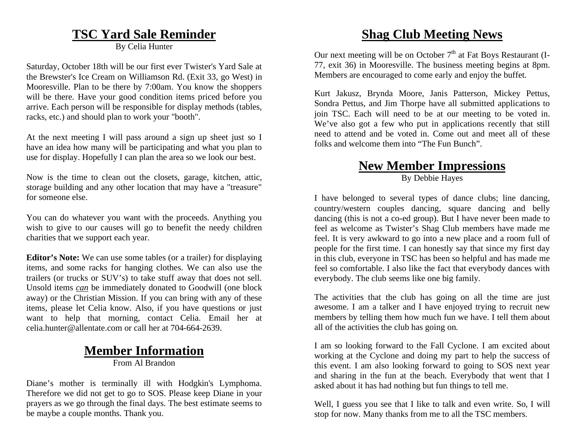#### **TSC Yard Sale Reminder**

By Celia Hunter

Saturday, October 18th will be our first ever Twister's Yard Sale at the Brewster's Ice Cream on Williamson Rd. (Exit 33, go West) in Mooresville. Plan to be there by 7:00am. You know the shoppers will be there. Have your good condition items priced before you arrive. Each person will be responsible for display methods (tables, racks, etc.) and should plan to work your "booth".

At the next meeting I will pass around a sign up sheet just so I have an idea how many will be participating and what you plan to use for display. Hopefully I can plan the area so we look our best.

Now is the time to clean out the closets, garage, kitchen, attic, storage building and any other location that may have a "treasure" for someone else.

You can do whatever you want with the proceeds. Anything you wish to give to our causes will go to benefit the needy children charities that we support each year.

**Editor's Note:** We can use some tables (or a trailer) for displaying items, and some racks for hanging clothes. We can also use the trailers (or trucks or SUV's) to take stuff away that does not sell. Unsold items *can* be immediately donated to Goodwill (one block away) or the Christian Mission. If you can bring with any of these items, please let Celia know. Also, if you have questions or just want to help that morning, contact Celia. Email her at celia.hunter@allentate.com or call her at 704-664-2639.

# **Member Information**

From Al Brandon

Diane's mother is terminally ill with Hodgkin's Lymphoma. Therefore we did not get to go to SOS. Please keep Diane in your prayers as we go through the final days. The best estimate seems to be maybe a couple months. Thank you.

# **Shag Club Meeting News**

Our next meeting will be on October  $7<sup>th</sup>$  at Fat Boys Restaurant (I-77, exit 36) in Mooresville. The business meeting begins at 8pm. Members are encouraged to come early and enjoy the buffet.

Kurt Jakusz, Brynda Moore, Janis Patterson, Mickey Pettus, Sondra Pettus, and Jim Thorpe have all submitted applications to join TSC. Each will need to be at our meeting to be voted in. We've also got a few who put in applications recently that still need to attend and be voted in. Come out and meet all of these folks and welcome them into "The Fun Bunch".

#### **New Member Impressions** By Debbie Hayes

I have belonged to several types of dance clubs; line dancing, country/western couples dancing, square dancing and belly dancing (this is not a co-ed group). But I have never been made to feel as welcome as Twister's Shag Club members have made me feel. It is very awkward to go into a new place and a room full of people for the first time. I can honestly say that since my first day in this club, everyone in TSC has been so helpful and has made me feel so comfortable. I also like the fact that everybody dances with everybody. The club seems like one big family.

The activities that the club has going on all the time are just awesome. I am a talker and I have enjoyed trying to recruit new members by telling them how much fun we have. I tell them about all of the activities the club has going on.

I am so looking forward to the Fall Cyclone. I am excited about working at the Cyclone and doing my part to help the success of this event. I am also looking forward to going to SOS next year and sharing in the fun at the beach. Everybody that went that I asked about it has had nothing but fun things to tell me.

Well, I guess you see that I like to talk and even write. So, I will stop for now. Many thanks from me to all the TSC members.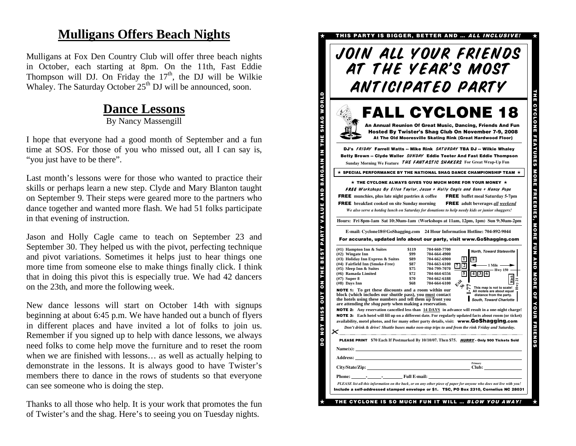## **Mulligans Offers Beach Nights**

Mulligans at Fox Den Country Club will offer three beach nights in October, each starting at 8pm. On the 11th, Fast Eddie Thompson will DJ. On Friday the  $17<sup>th</sup>$ , the DJ will be Wilkie Whaley. The Saturday October  $25<sup>th</sup>$  DJ will be announced, soon.

#### **Dance Lessons**

By Nancy Massengill

I hope that everyone had a good month of September and a fun time at SOS. For those of you who missed out, all I can say is, "you just have to be there".

Last month's lessons were for those who wanted to practice their skills or perhaps learn a new step. Clyde and Mary Blanton taught on September 9. Their steps were geared more to the partners who dance together and wanted more flash. We had 51 folks participate in that evening of instruction.

Jason and Holly Cagle came to teach on September 23 and September 30. They helped us with the pivot, perfecting technique and pivot variations. Sometimes it helps just to hear things one more time from someone else to make things finally click. I think that in doing this pivot this is especially true. We had 42 dancers on the 23th, and more the following week.

New dance lessons will start on October 14th with signups beginning at about 6:45 p.m. We have handed out a bunch of flyers in different places and have invited a lot of folks to join us. Remember if you signed up to help with dance lessons, we always need folks to come help move the furniture and to reset the room when we are finished with lessons… as well as actually helping to demonstrate in the lessons. It is always good to have Twister's members there to dance in the rows of students so that everyone can see someone who is doing the step.

Thanks to all those who help. It is your work that promotes the fun of Twister's and the shag. Here's to seeing you on Tuesday nights.

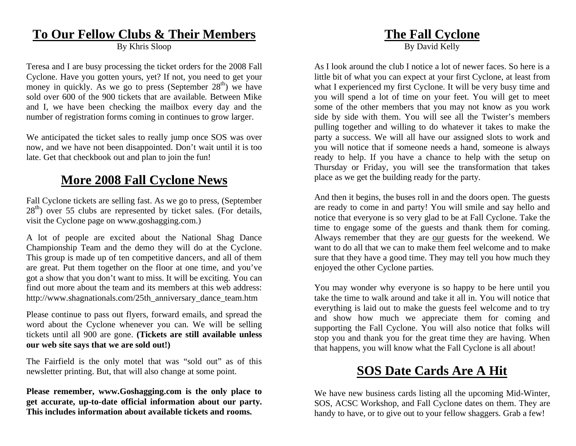## **To Our Fellow Clubs & Their Members**

By Khris Sloop

Teresa and I are busy processing the ticket orders for the 2008 Fall Cyclone. Have you gotten yours, yet? If not, you need to get your money in quickly. As we go to press (September  $28<sup>th</sup>$ ) we have sold over 600 of the 900 tickets that are available. Between Mike and I, we have been checking the mailbox every day and the number of registration forms coming in continues to grow larger.

We anticipated the ticket sales to really jump once SOS was over now, and we have not been disappointed. Don't wait until it is too late. Get that checkbook out and plan to join the fun!

# **More 2008 Fall Cyclone News**

Fall Cyclone tickets are selling fast. As we go to press, (September  $28<sup>th</sup>$ ) over 55 clubs are represented by ticket sales. (For details, visit the Cyclone page on www.goshagging.com.)

A lot of people are excited about the National Shag Dance Championship Team and the demo they will do at the Cyclone. This group is made up of ten competitive dancers, and all of them are great. Put them together on the floor at one time, and you've got a show that you don't want to miss. It will be exciting. You can find out more about the team and its members at this web address: http://www.shagnationals.com/25th\_anniversary\_dance\_team.htm

Please continue to pass out flyers, forward emails, and spread the word about the Cyclone whenever you can. We will be selling tickets until all 900 are gone. **(Tickets are still available unless our web site says that we are sold out!)**

The Fairfield is the only motel that was "sold out" as of this newsletter printing. But, that will also change at some point.

**Please remember, www.Goshagging.com is the only place to get accurate, up-to-date official information about our party. This includes information about available tickets and rooms.** 

# **The Fall Cyclone**

By David Kelly

As I look around the club I notice a lot of newer faces. So here is a little bit of what you can expect at your first Cyclone, at least from what I experienced my first Cyclone. It will be very busy time and you will spend a lot of time on your feet. You will get to meet some of the other members that you may not know as you work side by side with them. You will see all the Twister's members pulling together and willing to do whatever it takes to make the party a success. We will all have our assigned slots to work and you will notice that if someone needs a hand, someone is always ready to help. If you have a chance to help with the setup on Thursday or Friday, you will see the transformation that takes place as we get the building ready for the party.

And then it begins, the buses roll in and the doors open. The guests are ready to come in and party! You will smile and say hello and notice that everyone is so very glad to be at Fall Cyclone. Take the time to engage some of the guests and thank them for coming. Always remember that they are our guests for the weekend. We want to do all that we can to make them feel welcome and to make sure that they have a good time. They may tell you how much they enjoyed the other Cyclone parties.

You may wonder why everyone is so happy to be here until you take the time to walk around and take it all in. You will notice that everything is laid out to make the guests feel welcome and to try and show how much we appreciate them for coming and supporting the Fall Cyclone. You will also notice that folks will stop you and thank you for the great time they are having. When that happens, you will know what the Fall Cyclone is all about!

# **SOS Date Cards Are A Hit**

We have new business cards listing all the upcoming Mid-Winter, SOS, ACSC Workshop, and Fall Cyclone dates on them. They are handy to have, or to give out to your fellow shaggers. Grab a few!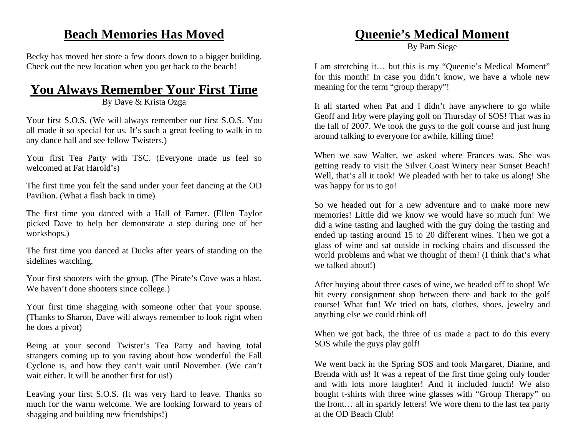# **Beach Memories Has Moved**

Becky has moved her store a few doors down to a bigger building. Check out the new location when you get back to the beach!

# **You Always Remember Your First Time**

By Dave & Krista Ozga

Your first S.O.S. (We will always remember our first S.O.S. You all made it so special for us. It's such a great feeling to walk in to any dance hall and see fellow Twisters.)

Your first Tea Party with TSC. (Everyone made us feel so welcomed at Fat Harold's)

The first time you felt the sand under your feet dancing at the OD Pavilion. (What a flash back in time)

The first time you danced with a Hall of Famer. (Ellen Taylor picked Dave to help her demonstrate a step during one of her workshops.)

The first time you danced at Ducks after years of standing on the sidelines watching.

Your first shooters with the group. (The Pirate's Cove was a blast. We haven't done shooters since college.)

Your first time shagging with someone other that your spouse. (Thanks to Sharon, Dave will always remember to look right when he does a pivot)

Being at your second Twister's Tea Party and having total strangers coming up to you raving about how wonderful the Fall Cyclone is, and how they can't wait until November. (We can't wait either. It will be another first for us!)

Leaving your first S.O.S. (It was very hard to leave. Thanks so much for the warm welcome. We are looking forward to years of shagging and building new friendships!)

# **Queenie's Medical Moment**

By Pam Siege

I am stretching it… but this is my "Queenie's Medical Moment" for this month! In case you didn't know, we have a whole new meaning for the term "group therapy"!

It all started when Pat and I didn't have anywhere to go while Geoff and Irby were playing golf on Thursday of SOS! That was in the fall of 2007. We took the guys to the golf course and just hung around talking to everyone for awhile, killing time!

When we saw Walter, we asked where Frances was. She was getting ready to visit the Silver Coast Winery near Sunset Beach! Well, that's all it took! We pleaded with her to take us along! She was happy for us to go!

So we headed out for a new adventure and to make more new memories! Little did we know we would have so much fun! We did a wine tasting and laughed with the guy doing the tasting and ended up tasting around 15 to 20 different wines. Then we got a glass of wine and sat outside in rocking chairs and discussed the world problems and what we thought of them! (I think that's what we talked about!)

After buying about three cases of wine, we headed off to shop! We hit every consignment shop between there and back to the golf course! What fun! We tried on hats, clothes, shoes, jewelry and anything else we could think of!

When we got back, the three of us made a pact to do this every SOS while the guys play golf!

We went back in the Spring SOS and took Margaret, Dianne, and Brenda with us! It was a repeat of the first time going only louder and with lots more laughter! And it included lunch! We also bought t-shirts with three wine glasses with "Group Therapy" on the front… all in sparkly letters! We wore them to the last tea party at the OD Beach Club!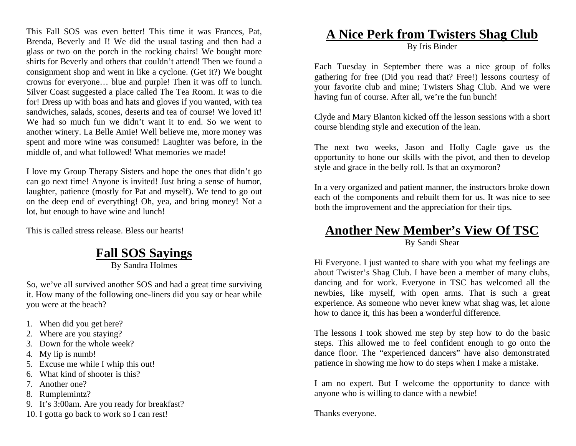This Fall SOS was even better! This time it was Frances, Pat, Brenda, Beverly and I! We did the usual tasting and then had a glass or two on the porch in the rocking chairs! We bought more shirts for Beverly and others that couldn't attend! Then we found a consignment shop and went in like a cyclone. (Get it?) We bought crowns for everyone… blue and purple! Then it was off to lunch. Silver Coast suggested a place called The Tea Room. It was to die for! Dress up with boas and hats and gloves if you wanted, with tea sandwiches, salads, scones, deserts and tea of course! We loved it! We had so much fun we didn't want it to end. So we went to another winery. La Belle Amie! Well believe me, more money was spent and more wine was consumed! Laughter was before, in the middle of, and what followed! What memories we made!

I love my Group Therapy Sisters and hope the ones that didn't go can go next time! Anyone is invited! Just bring a sense of humor, laughter, patience (mostly for Pat and myself). We tend to go out on the deep end of everything! Oh, yea, and bring money! Not a lot, but enough to have wine and lunch!

This is called stress release. Bless our hearts!

# **Fall SOS Sayings**

By Sandra Holmes

So, we've all survived another SOS and had a great time surviving it. How many of the following one-liners did you say or hear while you were at the beach?

- 1. When did you get here?
- 2. Where are you staying?
- 3. Down for the whole week?
- 4. My lip is numb!
- 5. Excuse me while I whip this out!
- 6. What kind of shooter is this?
- 7. Another one?
- 8. Rumplemintz?
- 9. It's 3:00am. Are you ready for breakfast?
- 10. I gotta go back to work so I can rest!

#### **A Nice Perk from Twisters Shag Club** By Iris Binder

Each Tuesday in September there was a nice group of folks gathering for free (Did you read that? Free!) lessons courtesy of your favorite club and mine; Twisters Shag Club. And we were having fun of course. After all, we're the fun bunch!

Clyde and Mary Blanton kicked off the lesson sessions with a short course blending style and execution of the lean.

The next two weeks, Jason and Holly Cagle gave us the opportunity to hone our skills with the pivot, and then to develop style and grace in the belly roll. Is that an oxymoron?

In a very organized and patient manner, the instructors broke down each of the components and rebuilt them for us. It was nice to see both the improvement and the appreciation for their tips.

# **Another New Member's View Of TSC**

By Sandi Shear

Hi Everyone. I just wanted to share with you what my feelings are about Twister's Shag Club. I have been a member of many clubs, dancing and for work. Everyone in TSC has welcomed all the newbies, like myself, with open arms. That is such a great experience. As someone who never knew what shag was, let alone how to dance it, this has been a wonderful difference.

The lessons I took showed me step by step how to do the basic steps. This allowed me to feel confident enough to go onto the dance floor. The "experienced dancers" have also demonstrated patience in showing me how to do steps when I make a mistake.

I am no expert. But I welcome the opportunity to dance with anyone who is willing to dance with a newbie!

Thanks everyone.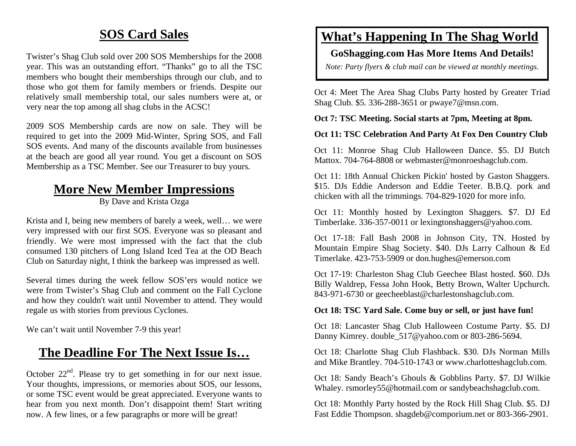# **SOS Card Sales**

Twister's Shag Club sold over 200 SOS Memberships for the 2008 year. This was an outstanding effort. "Thanks" go to all the TSC members who bought their memberships through our club, and to those who got them for family members or friends. Despite our relatively small membership total, our sales numbers were at, or very near the top among all shag clubs in the ACSC!

2009 SOS Membership cards are now on sale. They will be required to get into the 2009 Mid-Winter, Spring SOS, and Fall SOS events. And many of the discounts available from businesses at the beach are good all year round. You get a discount on SOS Membership as a TSC Member. See our Treasurer to buy yours.

#### **More New Member Impressions**

By Dave and Krista Ozga

Krista and I, being new members of barely a week, well… we were very impressed with our first SOS. Everyone was so pleasant and friendly. We were most impressed with the fact that the club consumed 130 pitchers of Long Island Iced Tea at the OD Beach Club on Saturday night, I think the barkeep was impressed as well.

Several times during the week fellow SOS'ers would notice we were from Twister's Shag Club and comment on the Fall Cyclone and how they couldn't wait until November to attend. They would regale us with stories from previous Cyclones.

We can't wait until November 7-9 this year!

# **The Deadline For The Next Issue Is…**

October 22nd. Please try to get something in for our next issue. Your thoughts, impressions, or memories about SOS, our lessons, or some TSC event would be great appreciated. Everyone wants to hear from you next month. Don't disappoint them! Start writing now. A few lines, or a few paragraphs or more will be great!

# **What's Happening In The Shag World**

#### **GoShagging.com Has More Items And Details!**

*Note: Party flyers & club mail can be viewed at monthly meetings.* 

Oct 4: Meet The Area Shag Clubs Party hosted by Greater Triad Shag Club. \$5. 336-288-3651 or pwaye7@msn.com.

**Oct 7: TSC Meeting. Social starts at 7pm, Meeting at 8pm.** 

#### **Oct 11: TSC Celebration And Party At Fox Den Country Club**

Oct 11: Monroe Shag Club Halloween Dance. \$5. DJ Butch Mattox. 704-764-8808 or webmaster@monroeshagclub.com.

Oct 11: 18th Annual Chicken Pickin' hosted by Gaston Shaggers. \$15. DJs Eddie Anderson and Eddie Teeter. B.B.Q. pork and chicken with all the trimmings. 704-829-1020 for more info.

Oct 11: Monthly hosted by Lexington Shaggers. \$7. DJ Ed Timberlake. 336-357-0011 or lexingtonshaggers@yahoo.com.

Oct 17-18: Fall Bash 2008 in Johnson City, TN. Hosted by Mountain Empire Shag Society. \$40. DJs Larry Calhoun & Ed Timerlake. 423-753-5909 or don.hughes@emerson.com

Oct 17-19: Charleston Shag Club Geechee Blast hosted. \$60. DJs Billy Waldrep, Fessa John Hook, Betty Brown, Walter Upchurch. 843-971-6730 or geecheeblast@charlestonshagclub.com.

#### **Oct 18: TSC Yard Sale. Come buy or sell, or just have fun!**

Oct 18: Lancaster Shag Club Halloween Costume Party. \$5. DJ Danny Kimrey. double 517@yahoo.com or 803-286-5694.

Oct 18: Charlotte Shag Club Flashback. \$30. DJs Norman Mills and Mike Brantley. 704-510-1743 or www.charlotteshagclub.com.

Oct 18: Sandy Beach's Ghouls & Gobblins Party. \$7. DJ Wilkie Whaley. rsmorley55@hotmail.com or sandybeachshagclub.com.

Oct 18: Monthly Party hosted by the Rock Hill Shag Club. \$5. DJ Fast Eddie Thompson. shagdeb@comporium.net or 803-366-2901.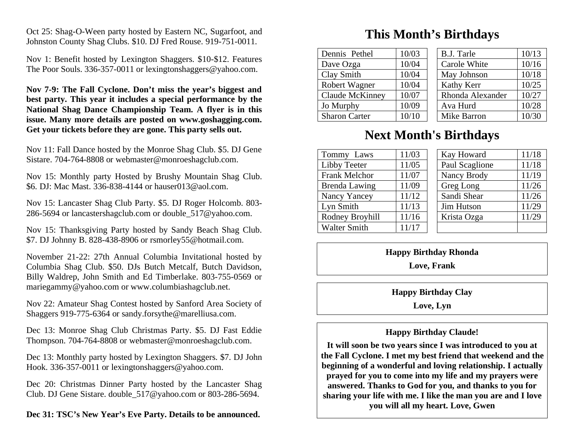Oct 25: Shag-O-Ween party hosted by Eastern NC, Sugarfoot, and Johnston County Shag Clubs. \$10. DJ Fred Rouse. 919-751-0011.

Nov 1: Benefit hosted by Lexington Shaggers. \$10-\$12. Features The Poor Souls. 336-357-0011 or lexingtonshaggers@yahoo.com.

**Nov 7-9: The Fall Cyclone. Don't miss the year's biggest and best party. This year it includes a special performance by the National Shag Dance Championship Team. A flyer is in this issue. Many more details are posted on www.goshagging.com. Get your tickets before they are gone. This party sells out.** 

Nov 11: Fall Dance hosted by the Monroe Shag Club. \$5. DJ Gene Sistare. 704-764-8808 or webmaster@monroeshagclub.com.

Nov 15: Monthly party Hosted by Brushy Mountain Shag Club. \$6. DJ: Mac Mast. 336-838-4144 or hauser013@aol.com.

Nov 15: Lancaster Shag Club Party. \$5. DJ Roger Holcomb. 803- 286-5694 or lancastershagclub.com or double\_517@yahoo.com.

Nov 15: Thanksgiving Party hosted by Sandy Beach Shag Club. \$7. DJ Johnny B. 828-438-8906 or rsmorley55@hotmail.com.

November 21-22: 27th Annual Columbia Invitational hosted by Columbia Shag Club. \$50. DJs Butch Metcalf, Butch Davidson, Billy Waldrep, John Smith and Ed Timberlake. 803-755-0569 or mariegammy@yahoo.com or www.columbiashagclub.net.

Nov 22: Amateur Shag Contest hosted by Sanford Area Society of Shaggers 919-775-6364 or sandy.forsythe@marelliusa.com.

Dec 13: Monroe Shag Club Christmas Party. \$5. DJ Fast Eddie Thompson. 704-764-8808 or webmaster@monroeshagclub.com.

Dec 13: Monthly party hosted by Lexington Shaggers. \$7. DJ John Hook. 336-357-0011 or lexingtonshaggers@yahoo.com.

Dec 20: Christmas Dinner Party hosted by the Lancaster Shag Club. DJ Gene Sistare. double\_517@yahoo.com or 803-286-5694.

**Dec 31: TSC's New Year's Eve Party. Details to be announced.** 

## **This Month's Birthdays**

| Dennis Pethel          | 10/03 | <b>B.J. Tarle</b> | 10/13 |
|------------------------|-------|-------------------|-------|
| Dave Ozga              | 10/04 | Carole White      | 10/16 |
| Clay Smith             | 10/04 | May Johnson       | 10/18 |
| Robert Wagner          | 10/04 | Kathy Kerr        | 10/25 |
| <b>Claude McKinney</b> | 10/07 | Rhonda Alexander  | 10/27 |
| Jo Murphy              | 10/09 | Ava Hurd          | 10/28 |
| <b>Sharon Carter</b>   | 10/10 | Mike Barron       | 10/30 |

#### **Next Month's Birthdays**

| Tommy Laws          | 11/03 |  | Kay Howard     | 11/18 |
|---------------------|-------|--|----------------|-------|
| Libby Teeter        | 11/05 |  | Paul Scaglione | 11/18 |
| Frank Melchor       | 11/07 |  | Nancy Brody    | 11/19 |
| Brenda Lawing       | 11/09 |  | Greg Long      | 11/26 |
| Nancy Yancey        | 11/12 |  | Sandi Shear    | 11/26 |
| Lyn Smith           | 11/13 |  | Jim Hutson     | 11/29 |
| Rodney Broyhill     | 11/16 |  | Krista Ozga    | 11/29 |
| <b>Walter Smith</b> | 11/17 |  |                |       |

#### **Happy Birthday Rhonda**

**Love, Frank** 

**Happy Birthday Clay** 

**Love, Lyn** 

#### **Happy Birthday Claude!**

**It will soon be two years since I was introduced to you at the Fall Cyclone. I met my best friend that weekend and the beginning of a wonderful and loving relationship. I actually prayed for you to come into my life and my prayers were answered. Thanks to God for you, and thanks to you for sharing your life with me. I like the man you are and I love you will all my heart. Love, Gwen**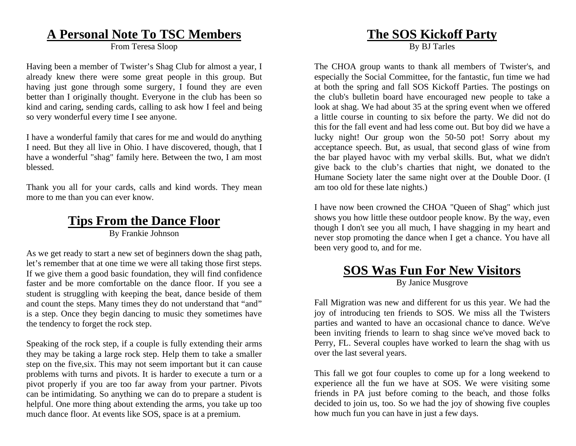#### **A Personal Note To TSC Members**

From Teresa Sloop

Having been a member of Twister's Shag Club for almost a year, I already knew there were some great people in this group. But having just gone through some surgery, I found they are even better than I originally thought. Everyone in the club has been so kind and caring, sending cards, calling to ask how I feel and being so very wonderful every time I see anyone.

I have a wonderful family that cares for me and would do anything I need. But they all live in Ohio. I have discovered, though, that I have a wonderful "shag" family here. Between the two, I am most blessed.

Thank you all for your cards, calls and kind words. They mean more to me than you can ever know.

## **Tips From the Dance Floor**

By Frankie Johnson

As we get ready to start a new set of beginners down the shag path, let's remember that at one time we were all taking those first steps. If we give them a good basic foundation, they will find confidence faster and be more comfortable on the dance floor. If you see a student is struggling with keeping the beat, dance beside of them and count the steps. Many times they do not understand that "and" is a step. Once they begin dancing to music they sometimes have the tendency to forget the rock step.

Speaking of the rock step, if a couple is fully extending their arms they may be taking a large rock step. Help them to take a smaller step on the five,six. This may not seem important but it can cause problems with turns and pivots. It is harder to execute a turn or a pivot properly if you are too far away from your partner. Pivots can be intimidating. So anything we can do to prepare a student is helpful. One more thing about extending the arms, you take up too much dance floor. At events like SOS, space is at a premium.

# **The SOS Kickoff Party**

By BJ Tarles

The CHOA group wants to thank all members of Twister's, and especially the Social Committee, for the fantastic, fun time we had at both the spring and fall SOS Kickoff Parties. The postings on the club's bulletin board have encouraged new people to take a look at shag. We had about 35 at the spring event when we offered a little course in counting to six before the party. We did not do this for the fall event and had less come out. But boy did we have a lucky night! Our group won the 50-50 pot! Sorry about my acceptance speech. But, as usual, that second glass of wine from the bar played havoc with my verbal skills. But, what we didn't give back to the club's charties that night, we donated to the Humane Society later the same night over at the Double Door. (I am too old for these late nights.)

I have now been crowned the CHOA "Queen of Shag" which just shows you how little these outdoor people know. By the way, even though I don't see you all much, I have shagging in my heart and never stop promoting the dance when I get a chance. You have all been very good to, and for me.

# **SOS Was Fun For New Visitors**

By Janice Musgrove

Fall Migration was new and different for us this year. We had the joy of introducing ten friends to SOS. We miss all the Twisters parties and wanted to have an occasional chance to dance. We've been inviting friends to learn to shag since we've moved back to Perry, FL. Several couples have worked to learn the shag with us over the last several years.

This fall we got four couples to come up for a long weekend to experience all the fun we have at SOS. We were visiting some friends in PA just before coming to the beach, and those folks decided to join us, too. So we had the joy of showing five couples how much fun you can have in just a few days.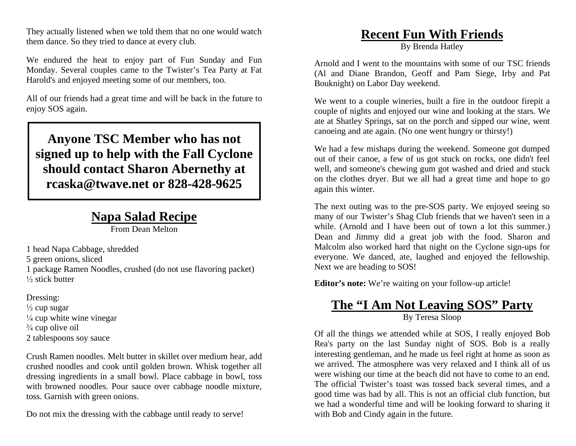They actually listened when we told them that no one would watch them dance. So they tried to dance at every club.

We endured the heat to enjoy part of Fun Sunday and Fun Monday. Several couples came to the Twister's Tea Party at Fat Harold's and enjoyed meeting some of our members, too.

All of our friends had a great time and will be back in the future to enjoy SOS again.

**Anyone TSC Member who has not signed up to help with the Fall Cyclone should contact Sharon Abernethy at rcaska@twave.net or 828-428-9625** 

#### **Napa Salad Recipe**

From Dean Melton

1 head Napa Cabbage, shredded

5 green onions, sliced

1 package Ramen Noodles, crushed (do not use flavoring packet)  $\frac{1}{2}$  stick butter

Dressing:

- $\frac{1}{2}$  cup sugar  $\frac{1}{4}$  cup white wine vinegar
- $\frac{3}{4}$  cup olive oil
- 2 tablespoons soy sauce

Crush Ramen noodles. Melt butter in skillet over medium hear, add crushed noodles and cook until golden brown. Whisk together all dressing ingredients in a small bowl. Place cabbage in bowl, toss with browned noodles. Pour sauce over cabbage noodle mixture, toss. Garnish with green onions.

Do not mix the dressing with the cabbage until ready to serve!

# **Recent Fun With Friends**

By Brenda Hatley

Arnold and I went to the mountains with some of our TSC friends (Al and Diane Brandon, Geoff and Pam Siege, Irby and Pat Bouknight) on Labor Day weekend.

We went to a couple wineries, built a fire in the outdoor firepit a couple of nights and enjoyed our wine and looking at the stars. We ate at Shatley Springs, sat on the porch and sipped our wine, went canoeing and ate again. (No one went hungry or thirsty!)

We had a few mishaps during the weekend. Someone got dumped out of their canoe, a few of us got stuck on rocks, one didn't feel well, and someone's chewing gum got washed and dried and stuck on the clothes dryer. But we all had a great time and hope to go again this winter.

The next outing was to the pre-SOS party. We enjoyed seeing so many of our Twister's Shag Club friends that we haven't seen in a while. (Arnold and I have been out of town a lot this summer.) Dean and Jimmy did a great job with the food. Sharon and Malcolm also worked hard that night on the Cyclone sign-ups for everyone. We danced, ate, laughed and enjoyed the fellowship. Next we are heading to SOS!

**Editor's note:** We're waiting on your follow-up article!

#### **The "I Am Not Leaving SOS" Party** By Teresa Sloop

Of all the things we attended while at SOS, I really enjoyed Bob Rea's party on the last Sunday night of SOS. Bob is a really interesting gentleman, and he made us feel right at home as soon as we arrived. The atmosphere was very relaxed and I think all of us were wishing our time at the beach did not have to come to an end. The official Twister's toast was tossed back several times, and a good time was had by all. This is not an official club function, but we had a wonderful time and will be looking forward to sharing it with Bob and Cindy again in the future.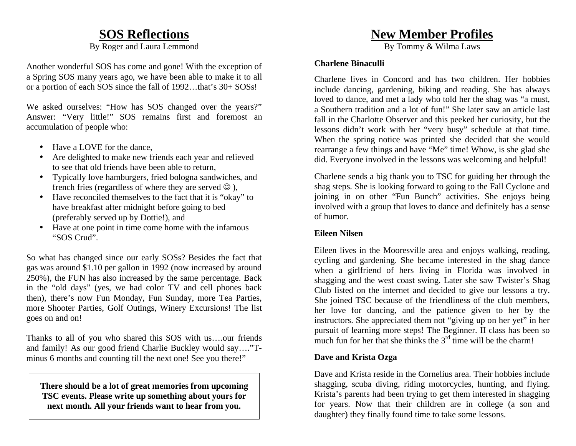### **SOS Reflections**

By Roger and Laura Lemmond

Another wonderful SOS has come and gone! With the exception of a Spring SOS many years ago, we have been able to make it to all or a portion of each SOS since the fall of 1992…that's 30+ SOSs!

We asked ourselves: "How has SOS changed over the years?" Answer: "Very little!" SOS remains first and foremost an accumulation of people who:

- Have a LOVE for the dance,
- Are delighted to make new friends each year and relieved to see that old friends have been able to return.
- Typically love hamburgers, fried bologna sandwiches, and french fries (regardless of where they are served  $\odot$  ),
- Have reconciled themselves to the fact that it is "okay" to have breakfast after midnight before going to bed (preferably served up by Dottie!), and
- Have at one point in time come home with the infamous "SOS Crud".

So what has changed since our early SOSs? Besides the fact that gas was around \$1.10 per gallon in 1992 (now increased by around 250%), the FUN has also increased by the same percentage. Back in the "old days" (yes, we had color TV and cell phones back then), there's now Fun Monday, Fun Sunday, more Tea Parties, more Shooter Parties, Golf Outings, Winery Excursions! The list goes on and on!

Thanks to all of you who shared this SOS with us….our friends and family! As our good friend Charlie Buckley would say…."Tminus 6 months and counting till the next one! See you there!"

**There should be a lot of great memories from upcoming TSC events. Please write up something about yours for next month. All your friends want to hear from you.** 

## **New Member Profiles**

By Tommy & Wilma Laws

#### **Charlene Binaculli**

Charlene lives in Concord and has two children. Her hobbies include dancing, gardening, biking and reading. She has always loved to dance, and met a lady who told her the shag was "a must, a Southern tradition and a lot of fun!" She later saw an article last fall in the Charlotte Observer and this peeked her curiosity, but the lessons didn't work with her "very busy" schedule at that time. When the spring notice was printed she decided that she would rearrange a few things and have "Me" time! Whow, is she glad she did. Everyone involved in the lessons was welcoming and helpful!

Charlene sends a big thank you to TSC for guiding her through the shag steps. She is looking forward to going to the Fall Cyclone and joining in on other "Fun Bunch" activities. She enjoys being involved with a group that loves to dance and definitely has a sense of humor.

#### **Eileen Nilsen**

Eileen lives in the Mooresville area and enjoys walking, reading, cycling and gardening. She became interested in the shag dance when a girlfriend of hers living in Florida was involved in shagging and the west coast swing. Later she saw Twister's Shag Club listed on the internet and decided to give our lessons a try. She joined TSC because of the friendliness of the club members, her love for dancing, and the patience given to her by the instructors. She appreciated them not "giving up on her yet" in her pursuit of learning more steps! The Beginner. II class has been so much fun for her that she thinks the  $3<sup>rd</sup>$  time will be the charm!

#### **Dave and Krista Ozga**

Dave and Krista reside in the Cornelius area. Their hobbies include shagging, scuba diving, riding motorcycles, hunting, and flying. Krista's parents had been trying to get them interested in shagging for years. Now that their children are in college (a son and daughter) they finally found time to take some lessons.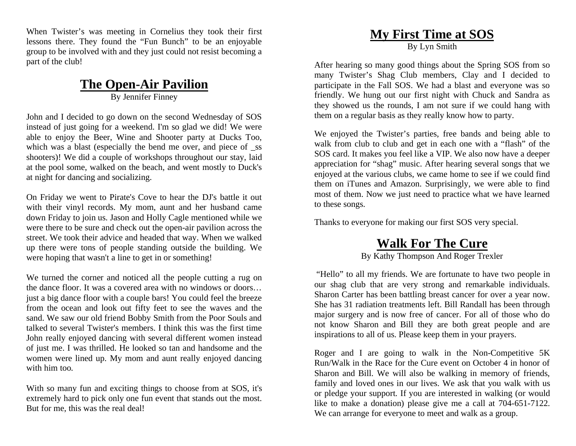When Twister's was meeting in Cornelius they took their first lessons there. They found the "Fun Bunch" to be an enjoyable group to be involved with and they just could not resist becoming a part of the club!

# **The Open-Air Pavilion**

By Jennifer Finney

John and I decided to go down on the second Wednesday of SOS instead of just going for a weekend. I'm so glad we did! We were able to enjoy the Beer, Wine and Shooter party at Ducks Too, which was a blast (especially the bend me over, and piece of \_ss shooters)! We did a couple of workshops throughout our stay, laid at the pool some, walked on the beach, and went mostly to Duck's at night for dancing and socializing.

On Friday we went to Pirate's Cove to hear the DJ's battle it out with their vinyl records. My mom, aunt and her husband came down Friday to join us. Jason and Holly Cagle mentioned while we were there to be sure and check out the open-air pavilion across the street. We took their advice and headed that way. When we walked up there were tons of people standing outside the building. We were hoping that wasn't a line to get in or something!

We turned the corner and noticed all the people cutting a rug on the dance floor. It was a covered area with no windows or doors… just a big dance floor with a couple bars! You could feel the breeze from the ocean and look out fifty feet to see the waves and the sand. We saw our old friend Bobby Smith from the Poor Souls and talked to several Twister's members. I think this was the first time John really enjoyed dancing with several different women instead of just me. I was thrilled. He looked so tan and handsome and the women were lined up. My mom and aunt really enjoyed dancing with him too.

With so many fun and exciting things to choose from at SOS, it's extremely hard to pick only one fun event that stands out the most. But for me, this was the real deal!

# **My First Time at SOS**

By Lyn Smith

After hearing so many good things about the Spring SOS from so many Twister's Shag Club members, Clay and I decided to participate in the Fall SOS. We had a blast and everyone was so friendly. We hung out our first night with Chuck and Sandra as they showed us the rounds, I am not sure if we could hang with them on a regular basis as they really know how to party.

We enjoyed the Twister's parties, free bands and being able to walk from club to club and get in each one with a "flash" of the SOS card. It makes you feel like a VIP. We also now have a deeper appreciation for "shag" music. After hearing several songs that we enjoyed at the various clubs, we came home to see if we could find them on iTunes and Amazon. Surprisingly, we were able to find most of them. Now we just need to practice what we have learned to these songs.

Thanks to everyone for making our first SOS very special.

# **Walk For The Cure**

By Kathy Thompson And Roger Trexler

 "Hello" to all my friends. We are fortunate to have two people in our shag club that are very strong and remarkable individuals. Sharon Carter has been battling breast cancer for over a year now. She has 31 radiation treatments left. Bill Randall has been through major surgery and is now free of cancer. For all of those who do not know Sharon and Bill they are both great people and are inspirations to all of us. Please keep them in your prayers.

Roger and I are going to walk in the Non-Competitive 5K Run/Walk in the Race for the Cure event on October 4 in honor of Sharon and Bill. We will also be walking in memory of friends, family and loved ones in our lives. We ask that you walk with us or pledge your support. If you are interested in walking (or would like to make a donation) please give me a call at 704-651-7122. We can arrange for everyone to meet and walk as a group.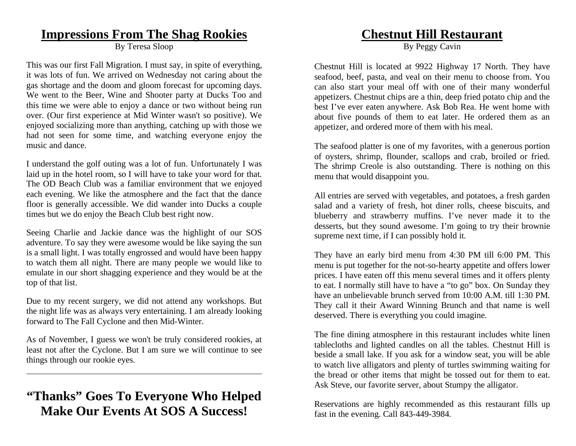#### **Impressions From The Shag Rookies**

By Teresa Sloop

This was our first Fall Migration. I must say, in spite of everything, it was lots of fun. We arrived on Wednesday not caring about the gas shortage and the doom and gloom forecast for upcoming days. We went to the Beer, Wine and Shooter party at Ducks Too and this time we were able to enjoy a dance or two without being run over. (Our first experience at Mid Winter wasn't so positive). We enjoyed socializing more than anything, catching up with those we had not seen for some time, and watching everyone enjoy the music and dance.

I understand the golf outing was a lot of fun. Unfortunately I was laid up in the hotel room, so I will have to take your word for that. The OD Beach Club was a familiar environment that we enjoyed each evening. We like the atmosphere and the fact that the dance floor is generally accessible. We did wander into Ducks a couple times but we do enjoy the Beach Club best right now.

Seeing Charlie and Jackie dance was the highlight of our SOS adventure. To say they were awesome would be like saying the sun is a small light. I was totally engrossed and would have been happy to watch them all night. There are many people we would like to emulate in our short shagging experience and they would be at the top of that list.

Due to my recent surgery, we did not attend any workshops. But the night life was as always very entertaining. I am already looking forward to The Fall Cyclone and then Mid-Winter.

As of November, I guess we won't be truly considered rookies, at least not after the Cyclone. But I am sure we will continue to see things through our rookie eyes.

# **"Thanks" Goes To Everyone Who Helped Make Our Events At SOS A Success!**

## **Chestnut Hill Restaurant**

By Peggy Cavin

Chestnut Hill is located at 9922 Highway 17 North. They have seafood, beef, pasta, and veal on their menu to choose from. You can also start your meal off with one of their many wonderful appetizers. Chestnut chips are a thin, deep fried potato chip and the best I've ever eaten anywhere. Ask Bob Rea. He went home with about five pounds of them to eat later. He ordered them as an appetizer, and ordered more of them with his meal.

The seafood platter is one of my favorites, with a generous portion of oysters, shrimp, flounder, scallops and crab, broiled or fried. The shrimp Creole is also outstanding. There is nothing on this menu that would disappoint you.

All entries are served with vegetables, and potatoes, a fresh garden salad and a variety of fresh, hot diner rolls, cheese biscuits, and blueberry and strawberry muffins. I've never made it to the desserts, but they sound awesome. I'm going to try their brownie supreme next time, if I can possibly hold it.

They have an early bird menu from 4:30 PM till 6:00 PM. This menu is put together for the not-so-hearty appetite and offers lower prices. I have eaten off this menu several times and it offers plenty to eat. I normally still have to have a "to go" box. On Sunday they have an unbelievable brunch served from 10:00 A.M. till 1:30 PM. They call it their Award Winning Brunch and that name is well deserved. There is everything you could imagine.

The fine dining atmosphere in this restaurant includes white linen tablecloths and lighted candles on all the tables. Chestnut Hill is beside a small lake. If you ask for a window seat, you will be able to watch live alligators and plenty of turtles swimming waiting for the bread or other items that might be tossed out for them to eat. Ask Steve, our favorite server, about Stumpy the alligator.

Reservations are highly recommended as this restaurant fills up fast in the evening. Call 843-449-3984.